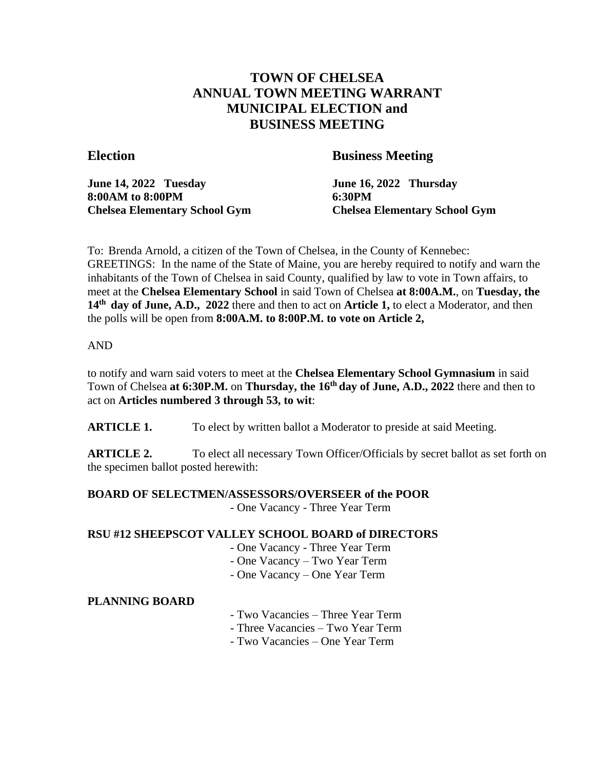# **TOWN OF CHELSEA ANNUAL TOWN MEETING WARRANT MUNICIPAL ELECTION and BUSINESS MEETING**

# **Election Business Meeting**

**June 14, 2022 Tuesday June 16, 2022 Thursday 8:00AM to 8:00PM 6:30PM**

**Chelsea Elementary School Gym Chelsea Elementary School Gym**

To: Brenda Arnold, a citizen of the Town of Chelsea, in the County of Kennebec: GREETINGS: In the name of the State of Maine, you are hereby required to notify and warn the inhabitants of the Town of Chelsea in said County, qualified by law to vote in Town affairs, to meet at the **Chelsea Elementary School** in said Town of Chelsea **at 8:00A.M.**, on **Tuesday, the 14th day of June, A.D., 2022** there and then to act on **Article 1,** to elect a Moderator, and then the polls will be open from **8:00A.M. to 8:00P.M. to vote on Article 2,**

# AND

to notify and warn said voters to meet at the **Chelsea Elementary School Gymnasium** in said Town of Chelsea **at 6:30P.M.** on **Thursday, the 16th day of June, A.D., 2022** there and then to act on **Articles numbered 3 through 53, to wit**:

**ARTICLE 1.** To elect by written ballot a Moderator to preside at said Meeting.

**ARTICLE 2.** To elect all necessary Town Officer/Officials by secret ballot as set forth on the specimen ballot posted herewith:

# **BOARD OF SELECTMEN/ASSESSORS/OVERSEER of the POOR**

- One Vacancy - Three Year Term

# **RSU #12 SHEEPSCOT VALLEY SCHOOL BOARD of DIRECTORS**

- One Vacancy Three Year Term
- One Vacancy Two Year Term
- One Vacancy One Year Term

# **PLANNING BOARD**

- Two Vacancies Three Year Term
- Three Vacancies Two Year Term
- Two Vacancies One Year Term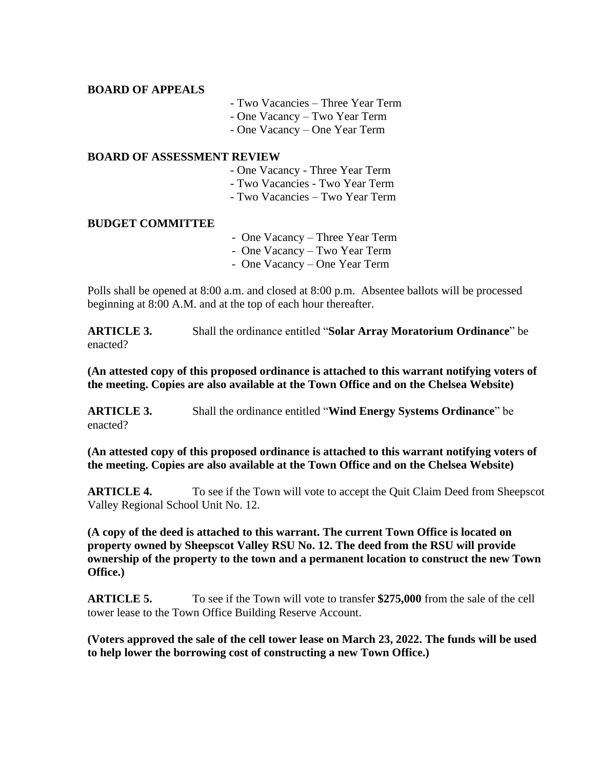### **BOARD OF APPEALS**

- Two Vacancies Three Year Term
- One Vacancy Two Year Term
- One Vacancy One Year Term

#### **BOARD OF ASSESSMENT REVIEW**

- One Vacancy Three Year Term
- Two Vacancies Two Year Term
- Two Vacancies Two Year Term

#### **BUDGET COMMITTEE**

- One Vacancy Three Year Term
- One Vacancy Two Year Term
- One Vacancy One Year Term

Polls shall be opened at 8:00 a.m. and closed at 8:00 p.m. Absentee ballots will be processed beginning at 8:00 A.M. and at the top of each hour thereafter.

**ARTICLE 3.** Shall the ordinance entitled "**Solar Array Moratorium Ordinance**" be enacted?

**(An attested copy of this proposed ordinance is attached to this warrant notifying voters of the meeting. Copies are also available at the Town Office and on the Chelsea Website)**

**ARTICLE 3.** Shall the ordinance entitled "**Wind Energy Systems Ordinance**" be enacted?

**(An attested copy of this proposed ordinance is attached to this warrant notifying voters of the meeting. Copies are also available at the Town Office and on the Chelsea Website)**

**ARTICLE 4.** To see if the Town will vote to accept the Quit Claim Deed from Sheepscot Valley Regional School Unit No. 12.

**(A copy of the deed is attached to this warrant. The current Town Office is located on property owned by Sheepscot Valley RSU No. 12. The deed from the RSU will provide ownership of the property to the town and a permanent location to construct the new Town Office.)**

**ARTICLE 5.** To see if the Town will vote to transfer **\$275,000** from the sale of the cell tower lease to the Town Office Building Reserve Account.

**(Voters approved the sale of the cell tower lease on March 23, 2022. The funds will be used to help lower the borrowing cost of constructing a new Town Office.)**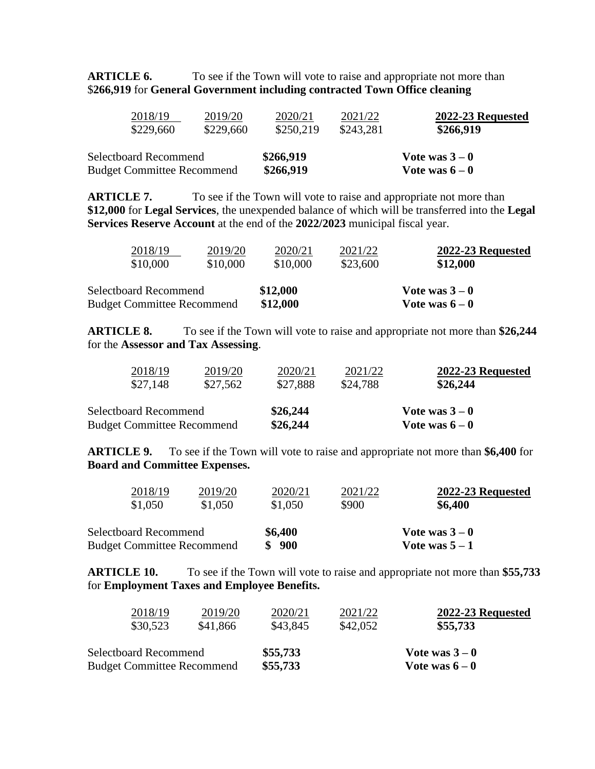**ARTICLE 6.** To see if the Town will vote to raise and appropriate not more than \$**266,919** for **General Government including contracted Town Office cleaning**

| 2018/19                                                    | 2019/20   | 2020/21                | 2021/22   | 2022-23 Requested                |
|------------------------------------------------------------|-----------|------------------------|-----------|----------------------------------|
| \$229,660                                                  | \$229,660 | \$250,219              | \$243,281 | \$266,919                        |
| Selectboard Recommend<br><b>Budget Committee Recommend</b> |           | \$266,919<br>\$266,919 |           | Vote was $3-0$<br>Vote was $6-0$ |

**ARTICLE 7.** To see if the Town will vote to raise and appropriate not more than **\$12,000** for **Legal Services**, the unexpended balance of which will be transferred into the **Legal Services Reserve Account** at the end of the **2022/2023** municipal fiscal year.

| 2018/19                                                           | 2019/20  | 2020/21              | 2021/22  | 2022-23 Requested                |
|-------------------------------------------------------------------|----------|----------------------|----------|----------------------------------|
| \$10,000                                                          | \$10,000 | \$10,000             | \$23,600 | \$12,000                         |
| <b>Selectboard Recommend</b><br><b>Budget Committee Recommend</b> |          | \$12,000<br>\$12,000 |          | Vote was $3-0$<br>Vote was $6-0$ |

**ARTICLE 8.** To see if the Town will vote to raise and appropriate not more than **\$26,244** for the **Assessor and Tax Assessing**.

| 2018/19                           | 2019/20  | 2020/21  | 2021/22  | 2022-23 Requested |  |
|-----------------------------------|----------|----------|----------|-------------------|--|
| \$27,148                          | \$27,562 | \$27,888 | \$24,788 | \$26,244          |  |
| Selectboard Recommend             |          | \$26,244 |          | Vote was $3-0$    |  |
| <b>Budget Committee Recommend</b> |          | \$26,244 |          | Vote was $6-0$    |  |

**ARTICLE 9.** To see if the Town will vote to raise and appropriate not more than **\$6,400** for **Board and Committee Expenses.**

| 2018/19                           | 2019/20 | 2020/21 | 2021/22 | 2022-23 Requested |  |
|-----------------------------------|---------|---------|---------|-------------------|--|
| \$1,050                           | \$1,050 | \$1,050 | \$900   | \$6,400           |  |
| <b>Selectboard Recommend</b>      |         | \$6,400 |         | Vote was $3-0$    |  |
| <b>Budget Committee Recommend</b> |         | 900     |         | Vote was $5 - 1$  |  |

**ARTICLE 10.** To see if the Town will vote to raise and appropriate not more than **\$55,733** for **Employment Taxes and Employee Benefits.**

| 2018/19                           | 2019/20  | 2020/21  | 2021/22  | 2022-23 Requested |  |
|-----------------------------------|----------|----------|----------|-------------------|--|
| \$30,523                          | \$41,866 | \$43,845 | \$42,052 | \$55,733          |  |
| Selectboard Recommend             |          | \$55,733 |          | Vote was $3-0$    |  |
| <b>Budget Committee Recommend</b> |          | \$55,733 |          | Vote was $6-0$    |  |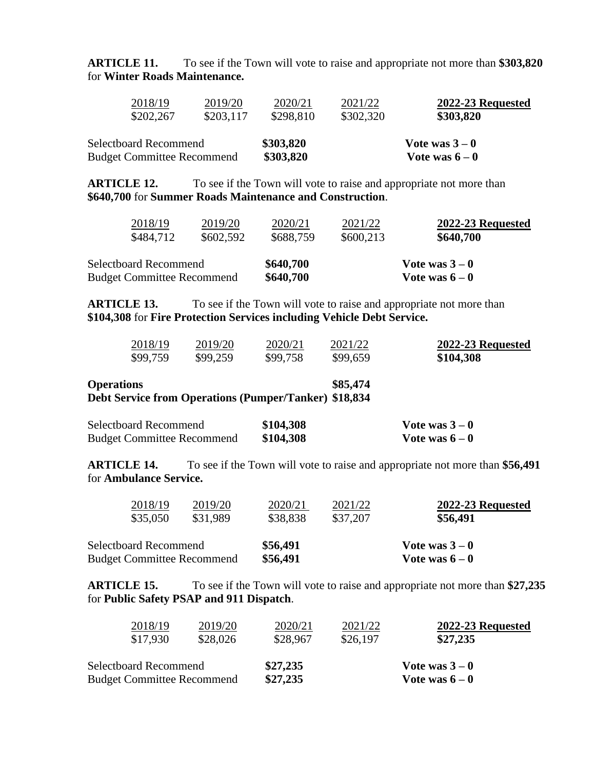**ARTICLE 11.** To see if the Town will vote to raise and appropriate not more than **\$303,820** for **Winter Roads Maintenance.**

| 2018/19                           | 2019/20   | 2020/21   | 2021/22   | 2022-23 Requested |  |
|-----------------------------------|-----------|-----------|-----------|-------------------|--|
| \$202,267                         | \$203,117 | \$298,810 | \$302,320 | \$303,820         |  |
| <b>Selectboard Recommend</b>      |           | \$303,820 |           | Vote was $3-0$    |  |
| <b>Budget Committee Recommend</b> |           | \$303,820 |           | Vote was $6-0$    |  |

**ARTICLE 12.** To see if the Town will vote to raise and appropriate not more than **\$640,700** for **Summer Roads Maintenance and Construction**.

| 2018/19<br>\$484,712              | 2019/20<br>\$602,592 | 2020/21<br>\$688,759 | 2021/22<br>\$600,213 | 2022-23 Requested<br>\$640,700 |
|-----------------------------------|----------------------|----------------------|----------------------|--------------------------------|
| Selectboard Recommend             |                      | \$640,700            | Vote was $3-0$       |                                |
| <b>Budget Committee Recommend</b> |                      | \$640,700            |                      | Vote was $6-0$                 |

**ARTICLE 13.** To see if the Town will vote to raise and appropriate not more than **\$104,308** for **Fire Protection Services including Vehicle Debt Service.**

| 2018/19                        | 2019/20           | 2020/21    | 2021/22             | 2022-23 Requested |
|--------------------------------|-------------------|------------|---------------------|-------------------|
| \$99,759                       | \$99,259          | \$99,758   | \$99,659            | \$104,308         |
| <b>Operations</b><br>$\bullet$ | $\sqrt{ }$<br>. . | $\sqrt{2}$ | \$85,474<br>0.10001 |                   |

**Debt Service from Operations (Pumper/Tanker) \$18,834**

| Selectboard Recommend             | \$104,308 | Vote was $3-0$ |
|-----------------------------------|-----------|----------------|
| <b>Budget Committee Recommend</b> | \$104,308 | Vote was $6-0$ |

**ARTICLE 14.** To see if the Town will vote to raise and appropriate not more than **\$56,491** for **Ambulance Service.**

| 2018/19<br>2019/20                | 2020/21  | 2021/22        | 2022-23 Requested |  |
|-----------------------------------|----------|----------------|-------------------|--|
| \$35,050<br>\$31.989              | \$38,838 | \$37,207       | \$56,491          |  |
| <b>Selectboard Recommend</b>      | \$56,491 |                | Vote was $3-0$    |  |
| <b>Budget Committee Recommend</b> | \$56,491 | Vote was $6-0$ |                   |  |

**ARTICLE 15.** To see if the Town will vote to raise and appropriate not more than **\$27,235** for **Public Safety PSAP and 911 Dispatch**.

| 2018/19                           | 2019/20  | 2020/21  | 2021/22  | 2022-23 Requested |  |
|-----------------------------------|----------|----------|----------|-------------------|--|
| \$17,930                          | \$28,026 | \$28,967 | \$26,197 | \$27,235          |  |
| <b>Selectboard Recommend</b>      |          | \$27,235 |          | Vote was $3-0$    |  |
| <b>Budget Committee Recommend</b> |          | \$27,235 |          | Vote was $6-0$    |  |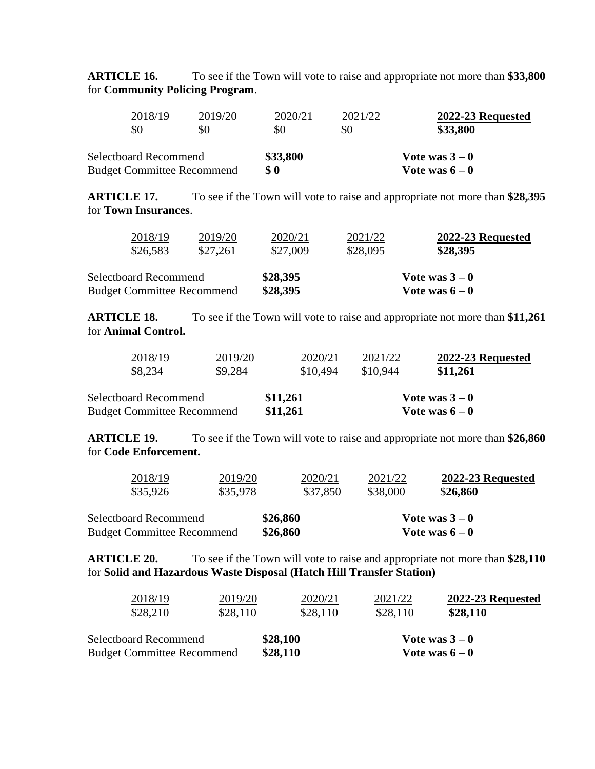**ARTICLE 16.** To see if the Town will vote to raise and appropriate not more than **\$33,800** for **Community Policing Program**.

| 2018/19<br>\$0                    | 2019/20<br>\$0 | 2020/21<br>\$0 | 2021/22<br>\$0 | 2022-23 Requested<br>\$33,800 |  |
|-----------------------------------|----------------|----------------|----------------|-------------------------------|--|
| Selectboard Recommend             |                | \$33,800       |                | Vote was $3-0$                |  |
| <b>Budget Committee Recommend</b> |                | \$0            |                | Vote was $6-0$                |  |

**ARTICLE 17.** To see if the Town will vote to raise and appropriate not more than **\$28,395** for **Town Insurances**.

| <b>Selectboard Recommend</b>               | \$28,395            |                     | Vote was $3-0$                |
|--------------------------------------------|---------------------|---------------------|-------------------------------|
| <b>Budget Committee Recommend</b>          | \$28,395            |                     | Vote was $6-0$                |
| 2018/19<br>2019/20<br>\$26,583<br>\$27,261 | 2020/21<br>\$27,009 | 2021/22<br>\$28,095 | 2022-23 Requested<br>\$28,395 |

**ARTICLE 18.** To see if the Town will vote to raise and appropriate not more than **\$11,261** for **Animal Control.**

| 2018/19                                                           | 2019/20 | 2020/21              | 2021/22  | 2022-23 Requested                |
|-------------------------------------------------------------------|---------|----------------------|----------|----------------------------------|
| \$8,234                                                           | \$9,284 | \$10,494             | \$10,944 | \$11,261                         |
| <b>Selectboard Recommend</b><br><b>Budget Committee Recommend</b> |         | \$11,261<br>\$11,261 |          | Vote was $3-0$<br>Vote was $6-0$ |

**ARTICLE 19.** To see if the Town will vote to raise and appropriate not more than **\$26,860** for **Code Enforcement.**

| 2018/19                           | 2019/20  | 2020/21  | 2021/22  | 2022-23 Requested |
|-----------------------------------|----------|----------|----------|-------------------|
| \$35,926                          | \$35,978 | \$37,850 | \$38,000 | \$26,860          |
| Selectboard Recommend             |          | \$26,860 |          | Vote was $3-0$    |
| <b>Budget Committee Recommend</b> |          | \$26,860 |          | Vote was $6-0$    |

**ARTICLE 20.** To see if the Town will vote to raise and appropriate not more than **\$28,110** for **Solid and Hazardous Waste Disposal (Hatch Hill Transfer Station)**

| 2018/19                           | 2019/20  | 2020/21  | 2021/22  | 2022-23 Requested |
|-----------------------------------|----------|----------|----------|-------------------|
| \$28,210                          | \$28,110 | \$28,110 | \$28,110 | \$28,110          |
| Selectboard Recommend             |          | \$28,100 |          | Vote was $3-0$    |
| <b>Budget Committee Recommend</b> |          | \$28,110 |          | Vote was $6-0$    |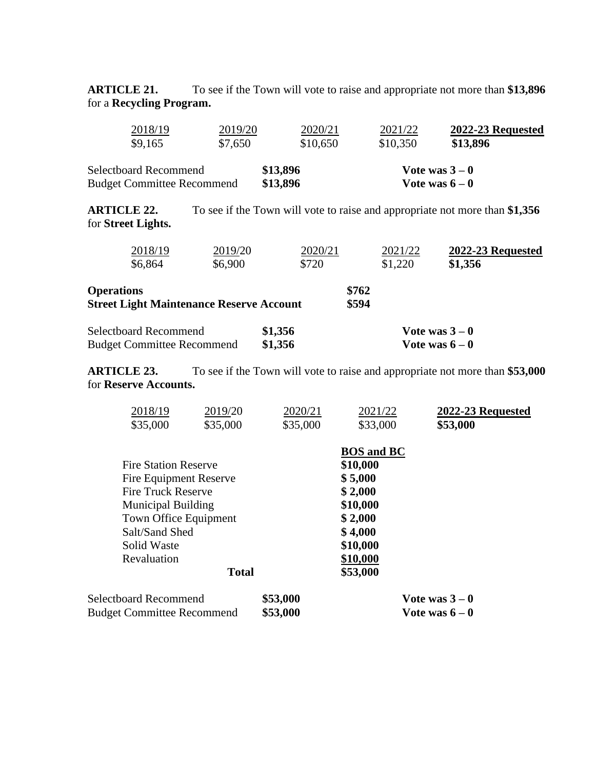**ARTICLE 21.** To see if the Town will vote to raise and appropriate not more than **\$13,896** for a **Recycling Program.**

| 2018/19                           | 2019/20 | 2020/21  | 2021/22  | 2022-23 Requested |
|-----------------------------------|---------|----------|----------|-------------------|
| \$9,165                           | \$7,650 | \$10,650 | \$10,350 | \$13,896          |
| Selectboard Recommend             |         | \$13,896 |          | Vote was $3-0$    |
| <b>Budget Committee Recommend</b> |         | \$13,896 |          | Vote was $6-0$    |

**ARTICLE 22.** To see if the Town will vote to raise and appropriate not more than **\$1,356** for **Street Lights.**

| 2018/19<br>2019/20<br>\$6,900<br>\$6,864                             | 2020/21<br>\$720   | 2021/22<br>\$1,220 | 2022-23 Requested<br>\$1,356     |
|----------------------------------------------------------------------|--------------------|--------------------|----------------------------------|
| <b>Operations</b><br><b>Street Light Maintenance Reserve Account</b> |                    | \$762<br>\$594     |                                  |
| <b>Selectboard Recommend</b><br><b>Budget Committee Recommend</b>    | \$1,356<br>\$1,356 |                    | Vote was $3-0$<br>Vote was $6-0$ |

**ARTICLE 23.** To see if the Town will vote to raise and appropriate not more than **\$53,000** for **Reserve Accounts.**

| 2018/19<br>2019/20                | 2020/21  | 2021/22                  | 2022-23 Requested |
|-----------------------------------|----------|--------------------------|-------------------|
| \$35,000<br>\$35,000              | \$35,000 | \$33,000                 | \$53,000          |
|                                   |          | <b>BOS</b> and <b>BC</b> |                   |
| <b>Fire Station Reserve</b>       |          | \$10,000                 |                   |
| Fire Equipment Reserve            |          | \$5,000                  |                   |
| <b>Fire Truck Reserve</b>         |          | \$2,000                  |                   |
| <b>Municipal Building</b>         |          | \$10,000                 |                   |
| Town Office Equipment             |          | \$2,000                  |                   |
| Salt/Sand Shed                    |          | \$4,000                  |                   |
| Solid Waste                       |          | \$10,000                 |                   |
| Revaluation                       |          | \$10,000                 |                   |
| <b>Total</b>                      |          | \$53,000                 |                   |
| <b>Selectboard Recommend</b>      | \$53,000 |                          | Vote was $3-0$    |
| <b>Budget Committee Recommend</b> | \$53,000 |                          | Vote was $6-0$    |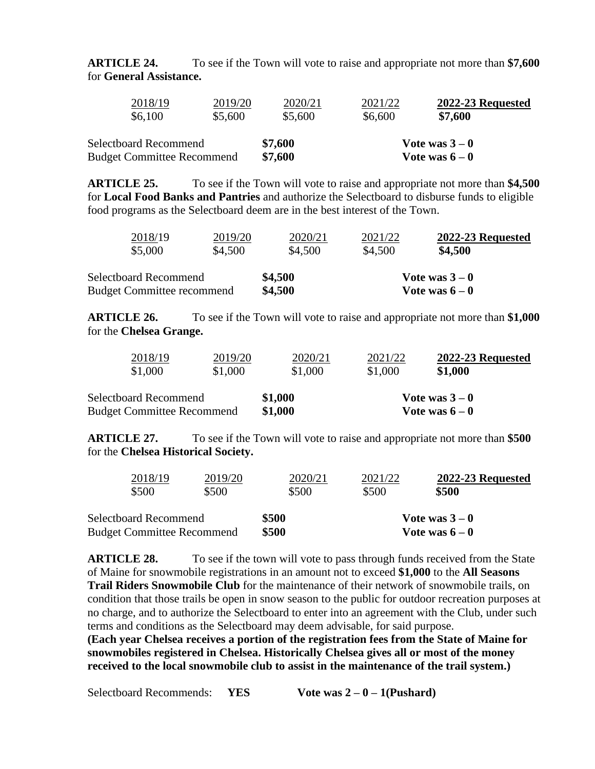**ARTICLE 24.** To see if the Town will vote to raise and appropriate not more than **\$7,600**  for **General Assistance.**

| 2018/19                           | 2019/20 | 2020/21 | 2021/22 | 2022-23 Requested |  |
|-----------------------------------|---------|---------|---------|-------------------|--|
| \$6,100                           | \$5,600 | \$5,600 | \$6,600 | \$7,600           |  |
| <b>Selectboard Recommend</b>      |         | \$7,600 |         | Vote was $3-0$    |  |
| <b>Budget Committee Recommend</b> |         | \$7,600 |         | Vote was $6-0$    |  |

**ARTICLE 25.** To see if the Town will vote to raise and appropriate not more than **\$4,500** for **Local Food Banks and Pantries** and authorize the Selectboard to disburse funds to eligible food programs as the Selectboard deem are in the best interest of the Town.

| 2018/19                           | 2019/20 | 2020/21 | 2021/22 | 2022-23 Requested |
|-----------------------------------|---------|---------|---------|-------------------|
| \$5,000                           | \$4,500 | \$4,500 | \$4,500 | \$4,500           |
| <b>Selectboard Recommend</b>      |         | \$4,500 |         | Vote was $3-0$    |
| <b>Budget Committee recommend</b> |         | \$4,500 |         | Vote was $6-0$    |

**ARTICLE 26.** To see if the Town will vote to raise and appropriate not more than **\$1,000** for the **Chelsea Grange.**

| 2018/19                           | 2019/20 | 2020/21 | 2021/22 | 2022-23 Requested |
|-----------------------------------|---------|---------|---------|-------------------|
| \$1,000                           | \$1,000 | \$1,000 | \$1,000 | \$1,000           |
| Selectboard Recommend             |         | \$1,000 |         | Vote was $3-0$    |
| <b>Budget Committee Recommend</b> |         | \$1,000 |         | Vote was $6-0$    |

**ARTICLE 27.** To see if the Town will vote to raise and appropriate not more than **\$500** for the **Chelsea Historical Society.**

| 2018/19                           | 2019/20 | 2020/21 | 2021/22        | 2022-23 Requested |  |
|-----------------------------------|---------|---------|----------------|-------------------|--|
| \$500                             | \$500   | \$500   | \$500          | \$500             |  |
| Selectboard Recommend             |         | \$500   |                | Vote was $3-0$    |  |
| <b>Budget Committee Recommend</b> |         | \$500   | Vote was $6-0$ |                   |  |

**ARTICLE 28.** To see if the town will vote to pass through funds received from the State of Maine for snowmobile registrations in an amount not to exceed **\$1,000** to the **All Seasons Trail Riders Snowmobile Club** for the maintenance of their network of snowmobile trails, on condition that those trails be open in snow season to the public for outdoor recreation purposes at no charge, and to authorize the Selectboard to enter into an agreement with the Club, under such terms and conditions as the Selectboard may deem advisable, for said purpose.

**(Each year Chelsea receives a portion of the registration fees from the State of Maine for snowmobiles registered in Chelsea. Historically Chelsea gives all or most of the money received to the local snowmobile club to assist in the maintenance of the trail system.)**

Selectboard Recommends: **YES Vote was 2 – 0 – 1(Pushard)**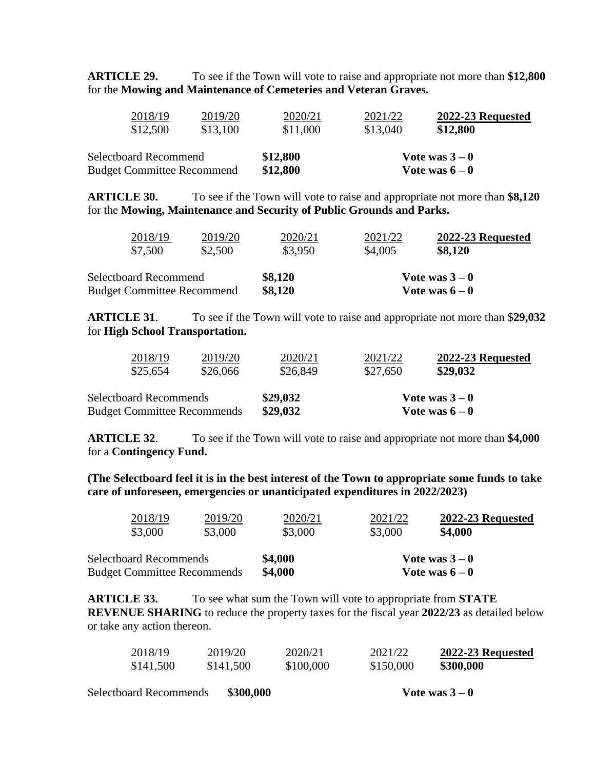**ARTICLE 29.** To see if the Town will vote to raise and appropriate not more than **\$12,800** for the **Mowing and Maintenance of Cemeteries and Veteran Graves.**

| 2018/19                                                           | 2019/20  | 2020/21              | 2021/22  | 2022-23 Requested                |  |
|-------------------------------------------------------------------|----------|----------------------|----------|----------------------------------|--|
| \$12,500                                                          | \$13,100 | \$11,000             | \$13,040 | \$12,800                         |  |
| <b>Selectboard Recommend</b><br><b>Budget Committee Recommend</b> |          | \$12,800<br>\$12,800 |          | Vote was $3-0$<br>Vote was $6-0$ |  |

**ARTICLE 30.** To see if the Town will vote to raise and appropriate not more than **\$8,120** for the **Mowing, Maintenance and Security of Public Grounds and Parks.**

| 2018/19                           | 2019/20 | 2020/21 | 2021/22        | 2022-23 Requested |  |
|-----------------------------------|---------|---------|----------------|-------------------|--|
| \$7,500                           | \$2,500 | \$3,950 | \$4,005        | \$8,120           |  |
| <b>Selectboard Recommend</b>      |         | \$8,120 | Vote was $3-0$ |                   |  |
| <b>Budget Committee Recommend</b> |         | \$8,120 | Vote was $6-0$ |                   |  |

**ARTICLE 31**. To see if the Town will vote to raise and appropriate not more than \$**29,032** for **High School Transportation.**

| 2018/19                            | 2019/20  | 2020/21  | 2021/22        | 2022-23 Requested |  |
|------------------------------------|----------|----------|----------------|-------------------|--|
| \$25,654                           | \$26,066 | \$26,849 | \$27,650       | \$29,032          |  |
| <b>Selectboard Recommends</b>      |          | \$29,032 | Vote was $3-0$ |                   |  |
| <b>Budget Committee Recommends</b> |          | \$29,032 | Vote was $6-0$ |                   |  |

**ARTICLE 32**. To see if the Town will vote to raise and appropriate not more than **\$4,000** for a **Contingency Fund.**

**(The Selectboard feel it is in the best interest of the Town to appropriate some funds to take care of unforeseen, emergencies or unanticipated expenditures in 2022/2023)**

| 2018/19                            | 2019/20 | 2020/21 | 2021/22        | 2022-23 Requested |
|------------------------------------|---------|---------|----------------|-------------------|
| \$3,000                            | \$3,000 | \$3,000 | \$3,000        | \$4,000           |
| <b>Selectboard Recommends</b>      |         | \$4,000 | Vote was $3-0$ |                   |
| <b>Budget Committee Recommends</b> |         | \$4,000 |                | Vote was $6-0$    |

**ARTICLE 33.** To see what sum the Town will vote to appropriate from **STATE REVENUE SHARING** to reduce the property taxes for the fiscal year **2022/23** as detailed below or take any action thereon.

| 2018/19   | 2019/20   | 2020/21   | 2021/22   | 2022-23 Requested |
|-----------|-----------|-----------|-----------|-------------------|
| \$141,500 | \$141,500 | \$100,000 | \$150,000 | \$300,000         |

Selectboard Recommends **\$300,000 Vote was 3 – 0**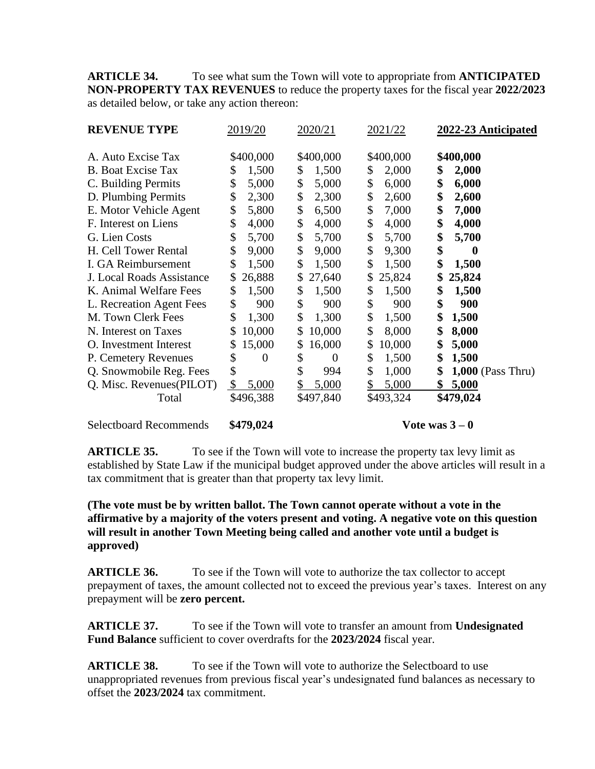**ARTICLE 34.** To see what sum the Town will vote to appropriate from **ANTICIPATED NON-PROPERTY TAX REVENUES** to reduce the property taxes for the fiscal year **2022/2023** as detailed below, or take any action thereon:

| <b>REVENUE TYPE</b>           | 2019/20                | 2020/21   | 2021/22     | 2022-23 Anticipated       |
|-------------------------------|------------------------|-----------|-------------|---------------------------|
| A. Auto Excise Tax            | \$400,000              | \$400,000 | \$400,000   | \$400,000                 |
| <b>B.</b> Boat Excise Tax     | 1,500                  | 1,500     | 2,000       | 2,000                     |
|                               | \$                     | \$        | \$          | \$                        |
| C. Building Permits           | \$                     | \$        | \$          | \$                        |
|                               | 5,000                  | 5,000     | 6,000       | 6,000                     |
| D. Plumbing Permits           | \$                     | \$        | \$          | \$                        |
|                               | 2,300                  | 2,300     | 2,600       | 2,600                     |
| E. Motor Vehicle Agent        | \$                     | \$        | \$          | \$                        |
|                               | 5,800                  | 6,500     | 7,000       | 7,000                     |
| F. Interest on Liens          | \$                     | \$        | \$          | \$                        |
|                               | 4,000                  | 4,000     | 4,000       | 4,000                     |
| G. Lien Costs                 | \$                     | \$        | \$          | \$                        |
|                               | 5,700                  | 5,700     | 5,700       | 5,700                     |
| H. Cell Tower Rental          | \$                     | \$        | \$          | \$                        |
|                               | 9,000                  | 9,000     | 9,300       | $\bf{0}$                  |
| I. GA Reimbursement           | \$                     | \$        | \$          | \$                        |
|                               | 1,500                  | 1,500     | 1,500       | 1,500                     |
| J. Local Roads Assistance     | 26,888                 | 27,640    | 25,824      | \$                        |
|                               | \$                     | \$        | \$          | 25,824                    |
| K. Animal Welfare Fees        | \$                     | \$        | \$          | \$                        |
|                               | 1,500                  | 1,500     | 1,500       | 1,500                     |
| L. Recreation Agent Fees      | \$                     | \$        | \$          | \$                        |
|                               | 900                    | 900       | 900         | 900                       |
| M. Town Clerk Fees            | \$                     | \$        | \$          | \$                        |
|                               | 1,300                  | 1,300     | 1,500       | 1,500                     |
| N. Interest on Taxes          | 10,000                 | 10,000    | \$          | \$                        |
|                               | \$                     | \$        | 8,000       | 8,000                     |
| O. Investment Interest        | 15,000                 | 16,000    | 10,000      | \$                        |
|                               | \$                     | \$        | \$          | 5,000                     |
| P. Cemetery Revenues          | \$                     | \$        | \$          | \$                        |
|                               | $\theta$               | $\theta$  | 1,500       | 1,500                     |
| Q. Snowmobile Reg. Fees       | \$                     | \$<br>994 | \$<br>1,000 | \$<br>$1,000$ (Pass Thru) |
| Q. Misc. Revenues(PILOT)      | 5,000<br>$\mathcal{S}$ | 5,000     | 5,000       | \$<br>5,000               |
| Total                         | \$496,388              | \$497,840 | \$493,324   | \$479,024                 |
| <b>Selectboard Recommends</b> | \$479,024              |           |             | Vote was $3-0$            |

**ARTICLE 35.** To see if the Town will vote to increase the property tax levy limit as established by State Law if the municipal budget approved under the above articles will result in a tax commitment that is greater than that property tax levy limit.

## **(The vote must be by written ballot. The Town cannot operate without a vote in the affirmative by a majority of the voters present and voting. A negative vote on this question will result in another Town Meeting being called and another vote until a budget is approved)**

**ARTICLE 36.** To see if the Town will vote to authorize the tax collector to accept prepayment of taxes, the amount collected not to exceed the previous year's taxes. Interest on any prepayment will be **zero percent.**

**ARTICLE 37.** To see if the Town will vote to transfer an amount from **Undesignated Fund Balance** sufficient to cover overdrafts for the **2023/2024** fiscal year.

**ARTICLE 38.** To see if the Town will vote to authorize the Selectboard to use unappropriated revenues from previous fiscal year's undesignated fund balances as necessary to offset the **2023/2024** tax commitment.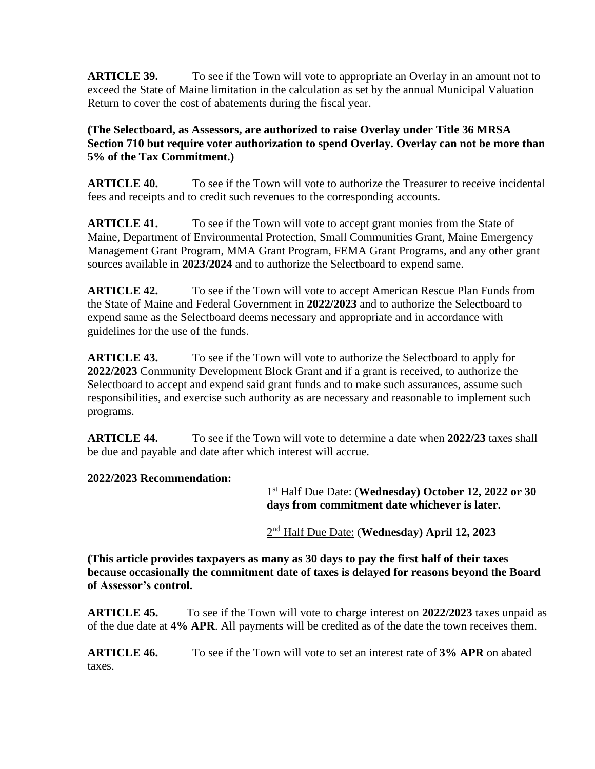**ARTICLE 39.** To see if the Town will vote to appropriate an Overlay in an amount not to exceed the State of Maine limitation in the calculation as set by the annual Municipal Valuation Return to cover the cost of abatements during the fiscal year.

**(The Selectboard, as Assessors, are authorized to raise Overlay under Title 36 MRSA Section 710 but require voter authorization to spend Overlay. Overlay can not be more than 5% of the Tax Commitment.)**

**ARTICLE 40.** To see if the Town will vote to authorize the Treasurer to receive incidental fees and receipts and to credit such revenues to the corresponding accounts.

**ARTICLE 41.** To see if the Town will vote to accept grant monies from the State of Maine, Department of Environmental Protection, Small Communities Grant, Maine Emergency Management Grant Program, MMA Grant Program, FEMA Grant Programs, and any other grant sources available in **2023/2024** and to authorize the Selectboard to expend same.

**ARTICLE 42.** To see if the Town will vote to accept American Rescue Plan Funds from the State of Maine and Federal Government in **2022/2023** and to authorize the Selectboard to expend same as the Selectboard deems necessary and appropriate and in accordance with guidelines for the use of the funds.

**ARTICLE 43.** To see if the Town will vote to authorize the Selectboard to apply for **2022/2023** Community Development Block Grant and if a grant is received, to authorize the Selectboard to accept and expend said grant funds and to make such assurances, assume such responsibilities, and exercise such authority as are necessary and reasonable to implement such programs.

**ARTICLE 44.** To see if the Town will vote to determine a date when 2022/23 taxes shall be due and payable and date after which interest will accrue.

## **2022/2023 Recommendation:**

1 st Half Due Date: (**Wednesday) October 12, 2022 or 30 days from commitment date whichever is later.**

<u>2</u> 2<sup>nd</sup> Half Due Date: (**Wednesday**) April 12, 2023

**(This article provides taxpayers as many as 30 days to pay the first half of their taxes because occasionally the commitment date of taxes is delayed for reasons beyond the Board of Assessor's control.**

**ARTICLE 45.** To see if the Town will vote to charge interest on **2022/2023** taxes unpaid as of the due date at **4% APR**. All payments will be credited as of the date the town receives them.

**ARTICLE 46.** To see if the Town will vote to set an interest rate of **3% APR** on abated taxes.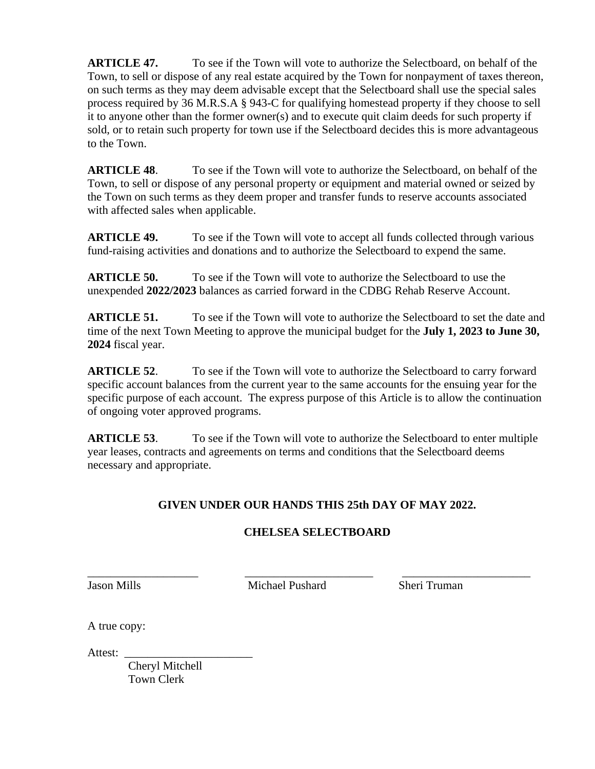**ARTICLE 47.** To see if the Town will vote to authorize the Selectboard, on behalf of the Town, to sell or dispose of any real estate acquired by the Town for nonpayment of taxes thereon, on such terms as they may deem advisable except that the Selectboard shall use the special sales process required by 36 M.R.S.A § 943-C for qualifying homestead property if they choose to sell it to anyone other than the former owner(s) and to execute quit claim deeds for such property if sold, or to retain such property for town use if the Selectboard decides this is more advantageous to the Town.

**ARTICLE 48**. To see if the Town will vote to authorize the Selectboard, on behalf of the Town, to sell or dispose of any personal property or equipment and material owned or seized by the Town on such terms as they deem proper and transfer funds to reserve accounts associated with affected sales when applicable.

**ARTICLE 49.** To see if the Town will vote to accept all funds collected through various fund-raising activities and donations and to authorize the Selectboard to expend the same.

**ARTICLE 50.** To see if the Town will vote to authorize the Selectboard to use the unexpended **2022/2023** balances as carried forward in the CDBG Rehab Reserve Account.

**ARTICLE 51.** To see if the Town will vote to authorize the Selectboard to set the date and time of the next Town Meeting to approve the municipal budget for the **July 1, 2023 to June 30, 2024** fiscal year.

**ARTICLE 52.** To see if the Town will vote to authorize the Selectboard to carry forward specific account balances from the current year to the same accounts for the ensuing year for the specific purpose of each account. The express purpose of this Article is to allow the continuation of ongoing voter approved programs.

**ARTICLE 53**. To see if the Town will vote to authorize the Selectboard to enter multiple year leases, contracts and agreements on terms and conditions that the Selectboard deems necessary and appropriate.

# **GIVEN UNDER OUR HANDS THIS 25th DAY OF MAY 2022.**

# **CHELSEA SELECTBOARD**

Jason Mills Michael Pushard Sheri Truman

\_\_\_\_\_\_\_\_\_\_\_\_\_\_\_\_\_\_\_ \_\_\_\_\_\_\_\_\_\_\_\_\_\_\_\_\_\_\_\_\_\_ \_\_\_\_\_\_\_\_\_\_\_\_\_\_\_\_\_\_\_\_\_\_

A true copy:

Attest: \_\_\_\_\_\_\_\_\_\_\_\_\_\_\_\_\_\_\_\_\_\_

 Cheryl Mitchell Town Clerk